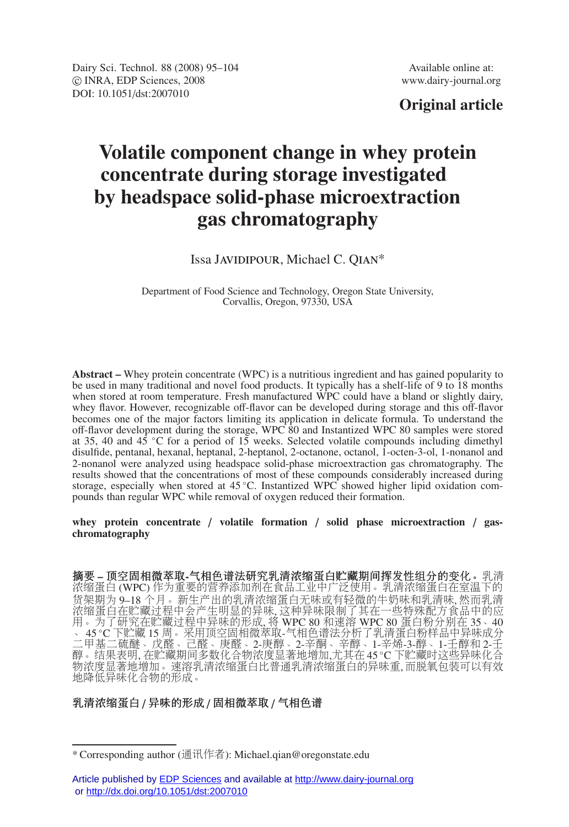Dairy Sci. Technol. 88 (2008) 95–104 Available online at: -c INRA, EDP Sciences, 2008 www.dairy-journal.org DOI: 10.1051/dst:2007010

# **Original article**

# **Volatile component change in whey protein concentrate during storage investigated by headspace solid-phase microextraction gas chromatography**

# Issa Javidipour, Michael C. Qian\*

Department of Food Science and Technology, Oregon State University, Corvallis, Oregon, 97330, USA

**Abstract –** Whey protein concentrate (WPC) is a nutritious ingredient and has gained popularity to be used in many traditional and novel food products. It typically has a shelf-life of 9 to 18 months when stored at room temperature. Fresh manufactured WPC could have a bland or slightly dairy, whey flavor. However, recognizable off-flavor can be developed during storage and this off-flavor becomes one of the major factors limiting its application in delicate formula. To understand the off-flavor development during the storage, WPC 80 and Instantized WPC 80 samples were stored at 35, 40 and 45 ◦C for a period of 15 weeks. Selected volatile compounds including dimethyl disulfide, pentanal, hexanal, heptanal, 2-heptanol, 2-octanone, octanol, 1-octen-3-ol, 1-nonanol and 2-nonanol were analyzed using headspace solid-phase microextraction gas chromatography. The results showed that the concentrations of most of these compounds considerably increased during storage, especially when stored at 45 °C. Instantized WPC showed higher lipid oxidation compounds than regular WPC while removal of oxygen reduced their formation.

#### **whey protein concentrate** / **volatile formation** / **solid phase microextraction** / **gaschromatography**

摘要 **–** 顶空固相微萃取**-**气相色谱法研究乳清浓缩蛋白贮藏期间挥发性组分的变化。乳清 浓缩蛋白 (WPC) 作为重要的营养添加剂在食品工业中广泛使用。乳清浓缩蛋白在室温下的 货架期为 9–18 个月。新生产出的乳清浓缩蛋白无味或有轻微的牛奶味和乳清味, 然而乳清 浓缩蛋白在贮藏过程中会产生明显的异味, 这种异味限制了其在一些特殊配方食品中的应 用。为了研究在贮藏过程中异味的形成, 将 WPC 80 和速溶 WPC 80 蛋白粉分别在 35、40 、 45 ◦C 下贮藏 15 周。采用顶空固相微萃取-气相色谱法分析了乳清蛋白粉样品中异味成分 二甲基二硫醚、戊醛、己醛、庚醛、2-庚醇、2-辛酮、辛醇、1-辛烯-3-醇、1-壬醇和 2-壬 醇。结果表明, 在贮藏期间多数化合物浓度显著地增加,尤其在 45 ℃ 下贮藏时这些异味化合 物浓度显著地增加。速溶乳清浓缩蛋白比普通乳清浓缩蛋白的异味重,而脱氧包装可以有效 地降低异味化合物的形成。

#### 乳清浓缩蛋白 / 异味的形成 / 固相微萃取 / 气相色谱

<sup>\*</sup> Corresponding author (通讯作者): Michael.qian@oregonstate.edu

Article published by **EDP Sciences** and available at <http://www.dairy-journal.org> or<http://dx.doi.org/10.1051/dst:2007010>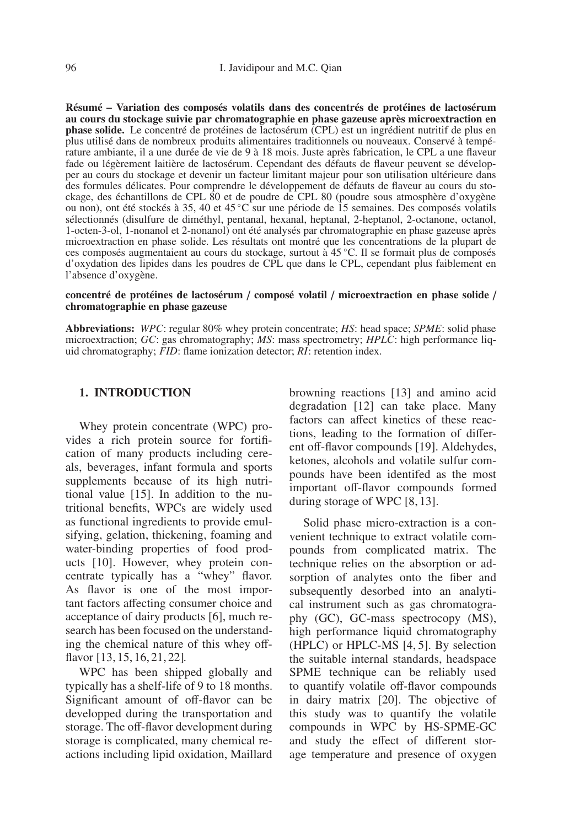**Résumé – Variation des composés volatils dans des concentrés de protéines de lactosérum au cours du stockage suivie par chromatographie en phase gazeuse après microextraction en phase solide.** Le concentré de protéines de lactosérum (CPL) est un ingrédient nutritif de plus en plus utilisé dans de nombreux produits alimentaires traditionnels ou nouveaux. Conservé à température ambiante, il a une durée de vie de 9 à 18 mois. Juste après fabrication, le CPL a une flaveur fade ou légèrement laitière de lactosérum. Cependant des défauts de flaveur peuvent se développer au cours du stockage et devenir un facteur limitant majeur pour son utilisation ultérieure dans des formules délicates. Pour comprendre le développement de défauts de flaveur au cours du stockage, des échantillons de CPL 80 et de poudre de CPL 80 (poudre sous atmosphère d'oxygène ou non), ont été stockés à 35, 40 et 45 ◦C sur une période de 15 semaines. Des composés volatils sélectionnés (disulfure de diméthyl, pentanal, hexanal, heptanal, 2-heptanol, 2-octanone, octanol, 1-octen-3-ol, 1-nonanol et 2-nonanol) ont été analysés par chromatographie en phase gazeuse après microextraction en phase solide. Les résultats ont montré que les concentrations de la plupart de ces composés augmentaient au cours du stockage, surtout à 45 ◦C. Il se formait plus de composés d'oxydation des lipides dans les poudres de CPL que dans le CPL, cependant plus faiblement en l'absence d'oxygène.

#### **concentré de protéines de lactosérum** / **composé volatil** / **microextraction en phase solide** / **chromatographie en phase gazeuse**

**Abbreviations:** *WPC*: regular 80% whey protein concentrate; *HS*: head space; *SPME*: solid phase microextraction; *GC*: gas chromatography; *MS*: mass spectrometry; *HPLC*: high performance liquid chromatography; *FID*: flame ionization detector; *RI*: retention index.

#### **1. INTRODUCTION**

Whey protein concentrate (WPC) provides a rich protein source for fortification of many products including cereals, beverages, infant formula and sports supplements because of its high nutritional value [15]. In addition to the nutritional benefits, WPCs are widely used as functional ingredients to provide emulsifying, gelation, thickening, foaming and water-binding properties of food products [10]. However, whey protein concentrate typically has a "whey" flavor. As flavor is one of the most important factors affecting consumer choice and acceptance of dairy products [6], much research has been focused on the understanding the chemical nature of this whey offflavor [13, 15, 16, 21, 22].

WPC has been shipped globally and typically has a shelf-life of 9 to 18 months. Significant amount of off-flavor can be developped during the transportation and storage. The off-flavor development during storage is complicated, many chemical reactions including lipid oxidation, Maillard browning reactions [13] and amino acid degradation [12] can take place. Many factors can affect kinetics of these reactions, leading to the formation of different off-flavor compounds [19]. Aldehydes, ketones, alcohols and volatile sulfur compounds have been identifed as the most important off-flavor compounds formed during storage of WPC [8, 13].

Solid phase micro-extraction is a convenient technique to extract volatile compounds from complicated matrix. The technique relies on the absorption or adsorption of analytes onto the fiber and subsequently desorbed into an analytical instrument such as gas chromatography (GC), GC-mass spectrocopy (MS), high performance liquid chromatography (HPLC) or HPLC-MS [4, 5]. By selection the suitable internal standards, headspace SPME technique can be reliably used to quantify volatile off-flavor compounds in dairy matrix [20]. The objective of this study was to quantify the volatile compounds in WPC by HS-SPME-GC and study the effect of different storage temperature and presence of oxygen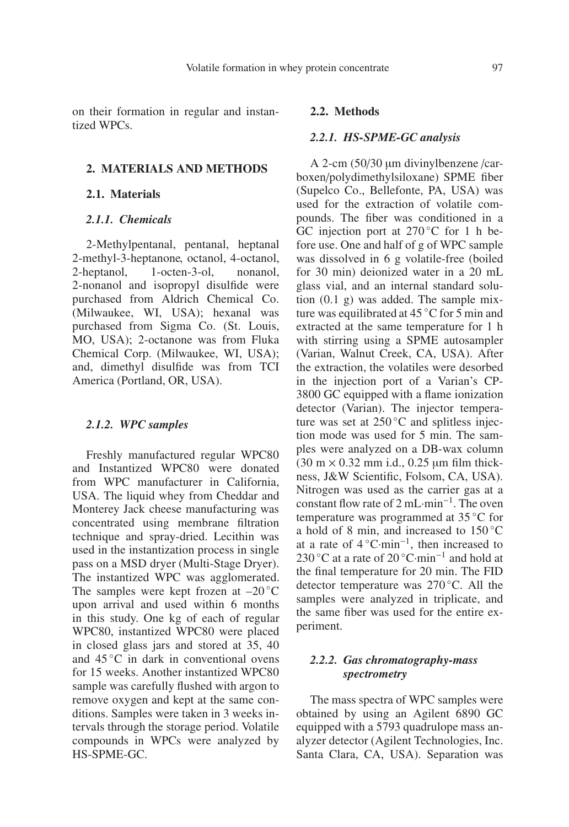on their formation in regular and instantized WPCs.

## **2. MATERIALS AND METHODS**

#### **2.1. Materials**

#### *2.1.1. Chemicals*

2-Methylpentanal, pentanal, heptanal 2-methyl-3-heptanone, octanol, 4-octanol, 2-heptanol, 1-octen-3-ol, nonanol, 2-nonanol and isopropyl disulfide were purchased from Aldrich Chemical Co. (Milwaukee, WI, USA); hexanal was purchased from Sigma Co. (St. Louis, MO, USA); 2-octanone was from Fluka Chemical Corp. (Milwaukee, WI, USA); and, dimethyl disulfide was from TCI America (Portland, OR, USA).

#### *2.1.2. WPC samples*

Freshly manufactured regular WPC80 and Instantized WPC80 were donated from WPC manufacturer in California, USA. The liquid whey from Cheddar and Monterey Jack cheese manufacturing was concentrated using membrane filtration technique and spray-dried. Lecithin was used in the instantization process in single pass on a MSD dryer (Multi-Stage Dryer). The instantized WPC was agglomerated. The samples were kept frozen at  $-20^{\circ}$ C upon arrival and used within 6 months in this study. One kg of each of regular WPC80, instantized WPC80 were placed in closed glass jars and stored at 35, 40 and 45 ◦C in dark in conventional ovens for 15 weeks. Another instantized WPC80 sample was carefully flushed with argon to remove oxygen and kept at the same conditions. Samples were taken in 3 weeks intervals through the storage period. Volatile compounds in WPCs were analyzed by HS-SPME-GC.

#### **2.2. Methods**

#### *2.2.1. HS-SPME-GC analysis*

A 2-cm (50/30 μm divinylbenzene /carboxen/polydimethylsiloxane) SPME fiber (Supelco Co., Bellefonte, PA, USA) was used for the extraction of volatile compounds. The fiber was conditioned in a GC injection port at  $270^{\circ}$ C for 1 h before use. One and half of g of WPC sample was dissolved in 6 g volatile-free (boiled for 30 min) deionized water in a 20 mL glass vial, and an internal standard solution (0.1 g) was added. The sample mixture was equilibrated at 45 ◦C for 5 min and extracted at the same temperature for 1 h with stirring using a SPME autosampler (Varian, Walnut Creek, CA, USA). After the extraction, the volatiles were desorbed in the injection port of a Varian's CP-3800 GC equipped with a flame ionization detector (Varian). The injector temperature was set at 250 °C and splitless injection mode was used for 5 min. The samples were analyzed on a DB-wax column  $(30 \text{ m} \times 0.32 \text{ mm} \text{ i.d., } 0.25 \text{ µm} \text{ film thick-}$ ness, J&W Scientific, Folsom, CA, USA). Nitrogen was used as the carrier gas at a constant flow rate of 2 mL·min−1. The oven temperature was programmed at 35 ◦C for a hold of 8 min, and increased to 150 ◦C at a rate of  $4^{\circ}$ C·min<sup>-1</sup>, then increased to 230 °C at a rate of 20 °C·min<sup>-1</sup> and hold at the final temperature for 20 min. The FID detector temperature was 270 ◦C. All the samples were analyzed in triplicate, and the same fiber was used for the entire experiment.

## *2.2.2. Gas chromatography-mass spectrometry*

The mass spectra of WPC samples were obtained by using an Agilent 6890 GC equipped with a 5793 quadrulope mass analyzer detector (Agilent Technologies, Inc. Santa Clara, CA, USA). Separation was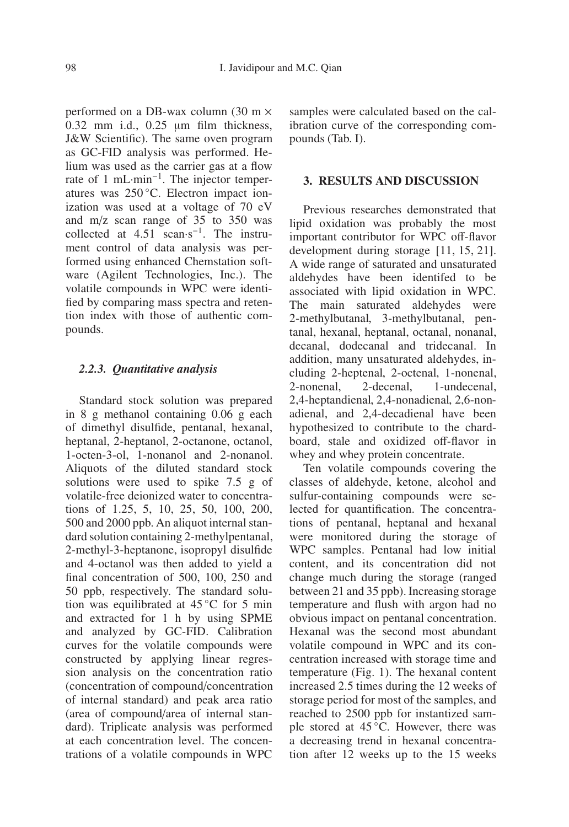performed on a DB-wax column (30 m × 0.32 mm i.d., 0.25 μm film thickness, J&W Scientific). The same oven program as GC-FID analysis was performed. Helium was used as the carrier gas at a flow rate of 1 mL·min−1. The injector temperatures was 250 ◦C. Electron impact ionization was used at a voltage of 70 eV and m/z scan range of 35 to 350 was collected at 4.51 scan·s−1. The instrument control of data analysis was performed using enhanced Chemstation software (Agilent Technologies, Inc.). The volatile compounds in WPC were identified by comparing mass spectra and retention index with those of authentic compounds.

#### *2.2.3. Quantitative analysis*

Standard stock solution was prepared in 8 g methanol containing 0.06 g each of dimethyl disulfide, pentanal, hexanal, heptanal, 2-heptanol, 2-octanone, octanol, 1-octen-3-ol, 1-nonanol and 2-nonanol. Aliquots of the diluted standard stock solutions were used to spike 7.5 g of volatile-free deionized water to concentrations of 1.25, 5, 10, 25, 50, 100, 200, 500 and 2000 ppb. An aliquot internal standard solution containing 2-methylpentanal, 2-methyl-3-heptanone, isopropyl disulfide and 4-octanol was then added to yield a final concentration of 500, 100, 250 and 50 ppb, respectively. The standard solution was equilibrated at  $45^{\circ}$ C for 5 min and extracted for 1 h by using SPME and analyzed by GC-FID. Calibration curves for the volatile compounds were constructed by applying linear regression analysis on the concentration ratio (concentration of compound/concentration of internal standard) and peak area ratio (area of compound/area of internal standard). Triplicate analysis was performed at each concentration level. The concentrations of a volatile compounds in WPC samples were calculated based on the calibration curve of the corresponding compounds (Tab. I).

## **3. RESULTS AND DISCUSSION**

Previous researches demonstrated that lipid oxidation was probably the most important contributor for WPC off-flavor development during storage [11, 15, 21]. A wide range of saturated and unsaturated aldehydes have been identifed to be associated with lipid oxidation in WPC. The main saturated aldehydes were 2-methylbutanal, 3-methylbutanal, pentanal, hexanal, heptanal, octanal, nonanal, decanal, dodecanal and tridecanal. In addition, many unsaturated aldehydes, including 2-heptenal, 2-octenal, 1-nonenal, 2-nonenal, 2-decenal, 1-undecenal, 2,4-heptandienal, 2,4-nonadienal, 2,6-nonadienal, and 2,4-decadienal have been hypothesized to contribute to the chardboard, stale and oxidized off-flavor in whey and whey protein concentrate.

Ten volatile compounds covering the classes of aldehyde, ketone, alcohol and sulfur-containing compounds were selected for quantification. The concentrations of pentanal, heptanal and hexanal were monitored during the storage of WPC samples. Pentanal had low initial content, and its concentration did not change much during the storage (ranged between 21 and 35 ppb). Increasing storage temperature and flush with argon had no obvious impact on pentanal concentration. Hexanal was the second most abundant volatile compound in WPC and its concentration increased with storage time and temperature (Fig. 1). The hexanal content increased 2.5 times during the 12 weeks of storage period for most of the samples, and reached to 2500 ppb for instantized sample stored at 45 °C. However, there was a decreasing trend in hexanal concentration after 12 weeks up to the 15 weeks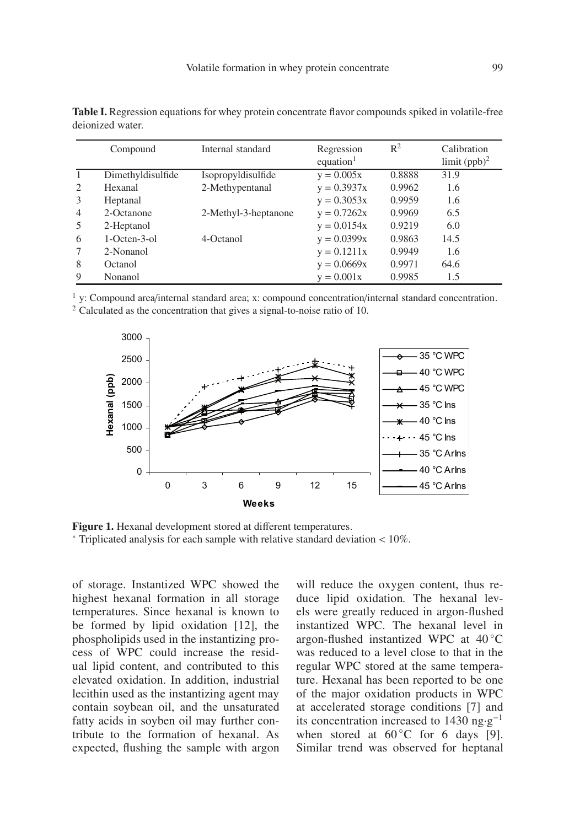|   | Compound          | Internal standard    | Regression            | $R^2$  | Calibration     |
|---|-------------------|----------------------|-----------------------|--------|-----------------|
|   |                   |                      | equation <sup>1</sup> |        | limit $(ppb)^2$ |
|   | Dimethyldisulfide | Isopropyldisulfide   | $y = 0.005x$          | 0.8888 | 31.9            |
| 2 | Hexanal           | 2-Methypentanal      | $y = 0.3937x$         | 0.9962 | 1.6             |
| 3 | Heptanal          |                      | $y = 0.3053x$         | 0.9959 | 1.6             |
| 4 | 2-Octanone        | 2-Methyl-3-heptanone | $y = 0.7262x$         | 0.9969 | 6.5             |
| 5 | 2-Heptanol        |                      | $y = 0.0154x$         | 0.9219 | 6.0             |
| 6 | $1-Octen-3-0$     | 4-Octanol            | $y = 0.0399x$         | 0.9863 | 14.5            |
|   | 2-Nonanol         |                      | $y = 0.1211x$         | 0.9949 | 1.6             |
| 8 | Octanol           |                      | $y = 0.0669x$         | 0.9971 | 64.6            |
| 9 | Nonanol           |                      | $y = 0.001x$          | 0.9985 | 1.5             |

**Table I.** Regression equations for whey protein concentrate flavor compounds spiked in volatile-free deionized water.

 $<sup>1</sup>$  y: Compound area/internal standard area; x: compound concentration/internal standard concentration.</sup>  $2$  Calculated as the concentration that gives a signal-to-noise ratio of 10.



**Figure 1.** Hexanal development stored at different temperatures. <sup>∗</sup> Triplicated analysis for each sample with relative standard deviation < 10%.

of storage. Instantized WPC showed the highest hexanal formation in all storage temperatures. Since hexanal is known to be formed by lipid oxidation [12], the phospholipids used in the instantizing process of WPC could increase the residual lipid content, and contributed to this elevated oxidation. In addition, industrial lecithin used as the instantizing agent may contain soybean oil, and the unsaturated fatty acids in soyben oil may further contribute to the formation of hexanal. As expected, flushing the sample with argon will reduce the oxygen content, thus reduce lipid oxidation. The hexanal levels were greatly reduced in argon-flushed instantized WPC. The hexanal level in argon-flushed instantized WPC at 40 ◦C was reduced to a level close to that in the regular WPC stored at the same temperature. Hexanal has been reported to be one of the major oxidation products in WPC at accelerated storage conditions [7] and its concentration increased to 1430 ng·g−<sup>1</sup> when stored at  $60^{\circ}$ C for 6 days [9]. Similar trend was observed for heptanal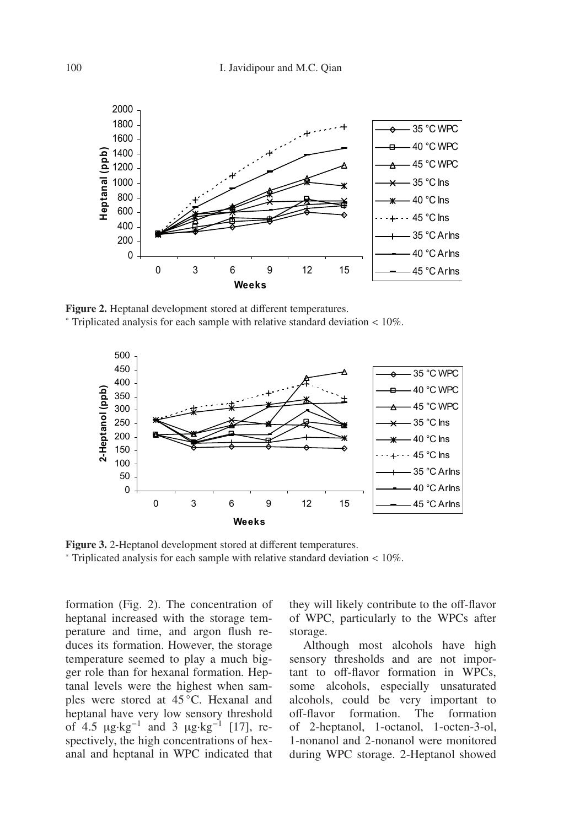

**Figure 2.** Heptanal development stored at different temperatures. <sup>∗</sup> Triplicated analysis for each sample with relative standard deviation < 10%.



**Figure 3.** 2-Heptanol development stored at different temperatures. <sup>∗</sup> Triplicated analysis for each sample with relative standard deviation < 10%.

formation (Fig. 2). The concentration of heptanal increased with the storage temperature and time, and argon flush reduces its formation. However, the storage temperature seemed to play a much bigger role than for hexanal formation. Heptanal levels were the highest when samples were stored at 45 °C. Hexanal and heptanal have very low sensory threshold of 4.5  $\mu$ g·kg<sup>-1</sup> and 3  $\mu$ g·kg<sup>-1</sup> [17], respectively, the high concentrations of hexanal and heptanal in WPC indicated that

they will likely contribute to the off-flavor of WPC, particularly to the WPCs after storage.

Although most alcohols have high sensory thresholds and are not important to off-flavor formation in WPCs, some alcohols, especially unsaturated alcohols, could be very important to off-flavor formation. The formation of 2-heptanol, 1-octanol, 1-octen-3-ol, 1-nonanol and 2-nonanol were monitored during WPC storage. 2-Heptanol showed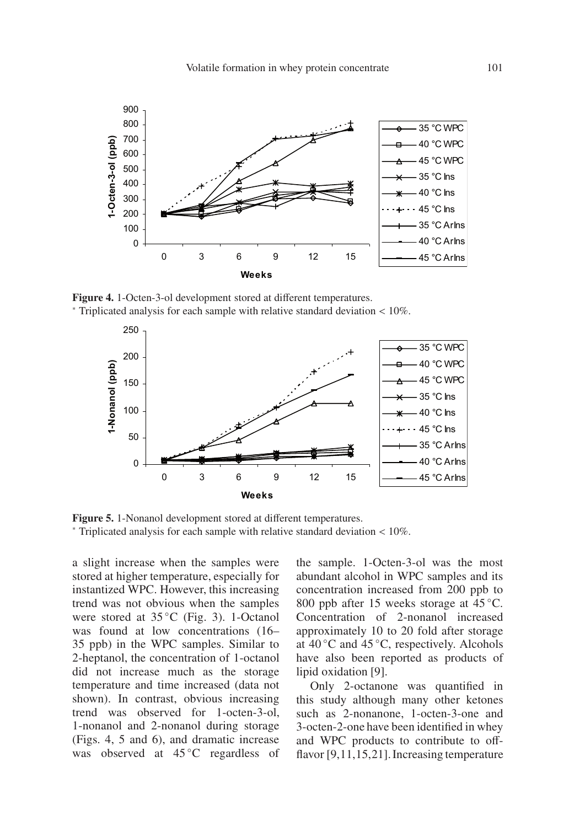

**Figure 4.** 1-Octen-3-ol development stored at different temperatures. <sup>∗</sup> Triplicated analysis for each sample with relative standard deviation < 10%.



**Figure 5.** 1-Nonanol development stored at different temperatures. <sup>∗</sup> Triplicated analysis for each sample with relative standard deviation < 10%.

a slight increase when the samples were stored at higher temperature, especially for instantized WPC. However, this increasing trend was not obvious when the samples were stored at 35 °C (Fig. 3). 1-Octanol was found at low concentrations (16– 35 ppb) in the WPC samples. Similar to 2-heptanol, the concentration of 1-octanol did not increase much as the storage temperature and time increased (data not shown). In contrast, obvious increasing trend was observed for 1-octen-3-ol, 1-nonanol and 2-nonanol during storage (Figs. 4, 5 and 6), and dramatic increase was observed at 45 °C regardless of the sample. 1-Octen-3-ol was the most abundant alcohol in WPC samples and its concentration increased from 200 ppb to 800 ppb after 15 weeks storage at 45 °C. Concentration of 2-nonanol increased approximately 10 to 20 fold after storage at  $40^{\circ}$ C and  $45^{\circ}$ C, respectively. Alcohols have also been reported as products of lipid oxidation [9].

Only 2-octanone was quantified in this study although many other ketones such as 2-nonanone, 1-octen-3-one and 3-octen-2-one have been identified in whey and WPC products to contribute to offflavor  $[9,11,15,21]$ . Increasing temperature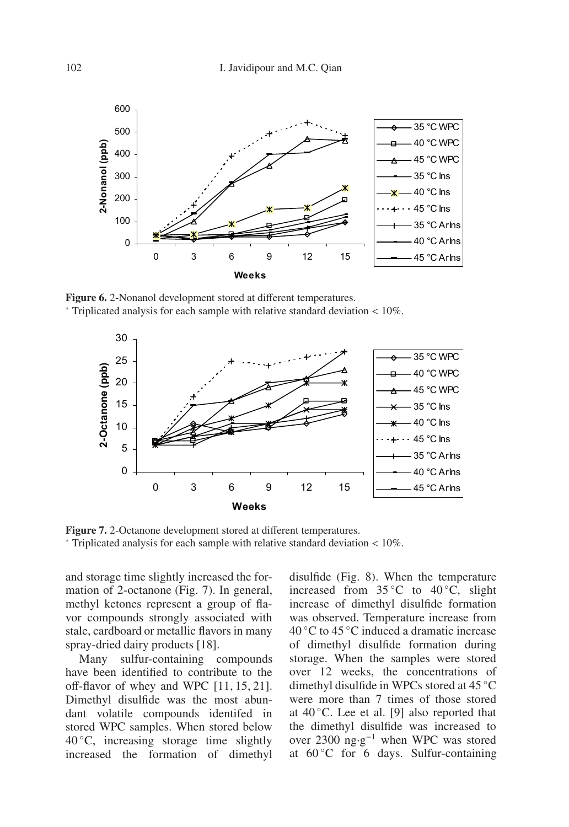

**Figure 6.** 2-Nonanol development stored at different temperatures. <sup>∗</sup> Triplicated analysis for each sample with relative standard deviation < 10%.



**Figure 7.** 2-Octanone development stored at different temperatures. <sup>∗</sup> Triplicated analysis for each sample with relative standard deviation < 10%.

and storage time slightly increased the formation of 2-octanone (Fig. 7). In general, methyl ketones represent a group of flavor compounds strongly associated with stale, cardboard or metallic flavors in many spray-dried dairy products [18].

Many sulfur-containing compounds have been identified to contribute to the off-flavor of whey and WPC [11, 15, 21]. Dimethyl disulfide was the most abundant volatile compounds identifed in stored WPC samples. When stored below  $40\degree$ C, increasing storage time slightly increased the formation of dimethyl disulfide (Fig. 8). When the temperature increased from  $35^{\circ}$ C to  $40^{\circ}$ C, slight increase of dimethyl disulfide formation was observed. Temperature increase from  $40^{\circ}$ C to  $45^{\circ}$ C induced a dramatic increase of dimethyl disulfide formation during storage. When the samples were stored over 12 weeks, the concentrations of dimethyl disulfide in WPCs stored at 45 ◦C were more than 7 times of those stored at  $40^{\circ}$ C. Lee et al. [9] also reported that the dimethyl disulfide was increased to over 2300 ng·g−<sup>1</sup> when WPC was stored at  $60^{\circ}$ C for 6 days. Sulfur-containing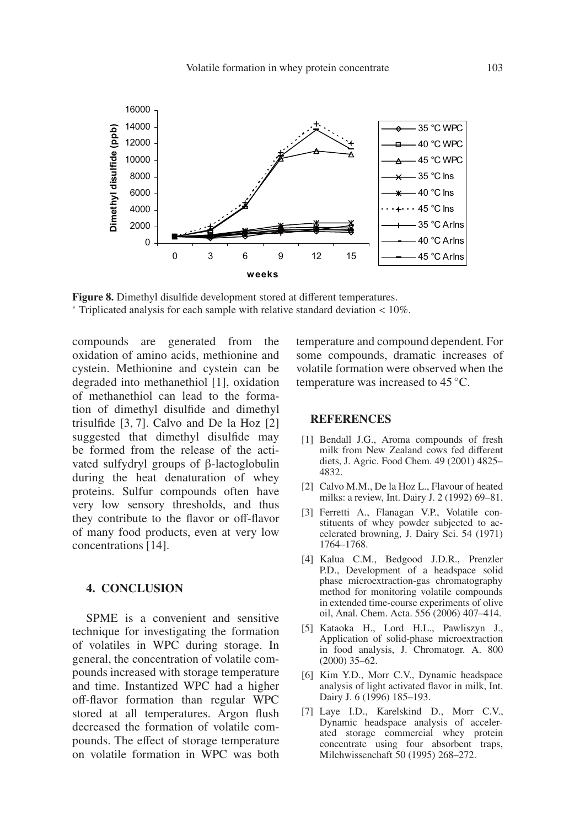

**Figure 8.** Dimethyl disulfide development stored at different temperatures. <sup>∗</sup> Triplicated analysis for each sample with relative standard deviation < 10%.

compounds are generated from the oxidation of amino acids, methionine and cystein. Methionine and cystein can be degraded into methanethiol [1], oxidation of methanethiol can lead to the formation of dimethyl disulfide and dimethyl trisulfide [3, 7]. Calvo and De la Hoz [2] suggested that dimethyl disulfide may be formed from the release of the activated sulfydryl groups of β-lactoglobulin during the heat denaturation of whey proteins. Sulfur compounds often have very low sensory thresholds, and thus they contribute to the flavor or off-flavor of many food products, even at very low concentrations [14].

#### **4. CONCLUSION**

SPME is a convenient and sensitive technique for investigating the formation of volatiles in WPC during storage. In general, the concentration of volatile compounds increased with storage temperature and time. Instantized WPC had a higher off-flavor formation than regular WPC stored at all temperatures. Argon flush decreased the formation of volatile compounds. The effect of storage temperature on volatile formation in WPC was both temperature and compound dependent. For some compounds, dramatic increases of volatile formation were observed when the temperature was increased to 45 ◦C.

#### **REFERENCES**

- [1] Bendall J.G., Aroma compounds of fresh milk from New Zealand cows fed different diets, J. Agric. Food Chem. 49 (2001) 4825– 4832.
- [2] Calvo M.M., De la Hoz L., Flavour of heated milks: a review, Int. Dairy J. 2 (1992) 69–81.
- [3] Ferretti A., Flanagan V.P., Volatile constituents of whey powder subjected to accelerated browning, J. Dairy Sci. 54 (1971) 1764–1768.
- [4] Kalua C.M., Bedgood J.D.R., Prenzler P.D., Development of a headspace solid phase microextraction-gas chromatography method for monitoring volatile compounds in extended time-course experiments of olive oil, Anal. Chem. Acta. 556 (2006) 407–414.
- [5] Kataoka H., Lord H.L., Pawliszyn J., Application of solid-phase microextraction in food analysis, J. Chromatogr. A. 800 (2000) 35–62.
- [6] Kim Y.D., Morr C.V., Dynamic headspace analysis of light activated flavor in milk, Int. Dairy J. 6 (1996) 185–193.
- [7] Laye I.D., Karelskind D., Morr C.V., Dynamic headspace analysis of accelerated storage commercial whey protein concentrate using four absorbent traps, Milchwissenchaft 50 (1995) 268–272.